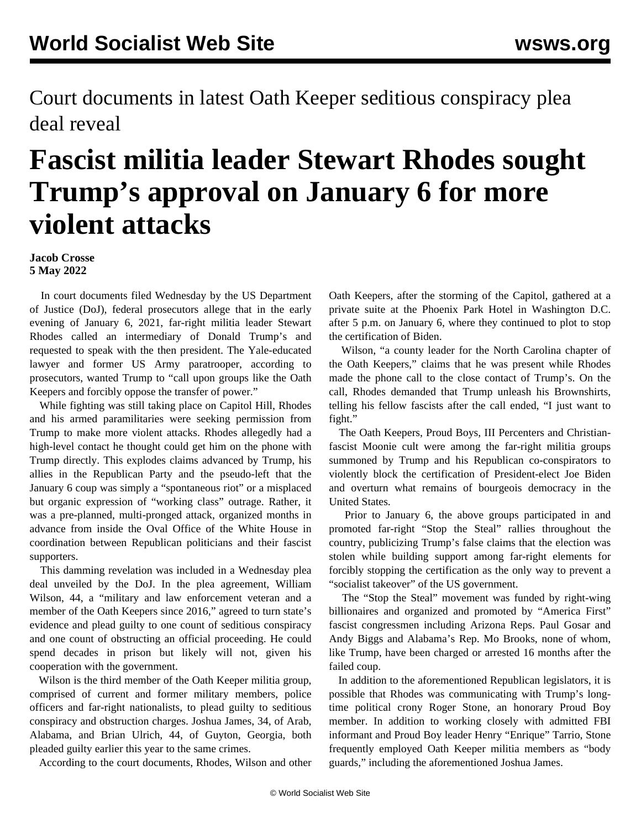Court documents in latest Oath Keeper seditious conspiracy plea deal reveal

## **Fascist militia leader Stewart Rhodes sought Trump's approval on January 6 for more violent attacks**

**Jacob Crosse 5 May 2022**

 In court documents filed Wednesday by the US Department of Justice (DoJ), federal prosecutors allege that in the early evening of January 6, 2021, far-right militia leader Stewart Rhodes called an intermediary of Donald Trump's and requested to speak with the then president. The Yale-educated lawyer and former US Army paratrooper, according to prosecutors, wanted Trump to "call upon groups like the Oath Keepers and forcibly oppose the transfer of power."

 While fighting was still taking place on Capitol Hill, Rhodes and his armed paramilitaries were seeking permission from Trump to make more violent attacks. Rhodes allegedly had a high-level contact he thought could get him on the phone with Trump directly. This explodes claims advanced by Trump, his allies in the Republican Party and the pseudo-left that the January 6 coup was simply a "spontaneous riot" or a misplaced but organic expression of "working class" outrage. Rather, it was a pre-planned, multi-pronged attack, organized months in advance from inside the Oval Office of the White House in coordination between Republican politicians and their fascist supporters.

 This damming revelation was included in a Wednesday plea deal unveiled by the DoJ. In the plea agreement, William Wilson, 44, a "military and law enforcement veteran and a member of the Oath Keepers since 2016," agreed to turn state's evidence and plead guilty to one count of seditious conspiracy and one count of obstructing an official proceeding. He could spend decades in prison but likely will not, given his cooperation with the government.

 Wilson is the third member of the Oath Keeper militia group, comprised of current and former military members, police officers and far-right nationalists, to plead guilty to seditious conspiracy and obstruction charges. Joshua James, 34, of Arab, Alabama, and Brian Ulrich, 44, of Guyton, Georgia, both pleaded guilty earlier this year to the same crimes.

According to the court documents, Rhodes, Wilson and other

Oath Keepers, after the storming of the Capitol, gathered at a private suite at the Phoenix Park Hotel in Washington D.C. after 5 p.m. on January 6, where they continued to plot to stop the certification of Biden.

 Wilson, "a county leader for the North Carolina chapter of the Oath Keepers," claims that he was present while Rhodes made the phone call to the close contact of Trump's. On the call, Rhodes demanded that Trump unleash his Brownshirts, telling his fellow fascists after the call ended, "I just want to fight."

 The Oath Keepers, Proud Boys, III Percenters and [Christian](https://www.google.com/url?sa=t&rct=j&q=&esrc=s&source=web&cd=&cad=rja&uact=8&ved=2ahUKEwi0z5CV0sn3AhWAK0QIHdwjCb8QFnoECBIQAQ&url=https%3A%2F%2Fwww.wsws.org%2Fen%2Farticles%2F2021%2F09%2F13%2Ftrum-s13.html&usg=AOvVaw1m7K2rDXs291qRal6Heeek)[fascist Moonie](https://www.google.com/url?sa=t&rct=j&q=&esrc=s&source=web&cd=&cad=rja&uact=8&ved=2ahUKEwi0z5CV0sn3AhWAK0QIHdwjCb8QFnoECBIQAQ&url=https%3A%2F%2Fwww.wsws.org%2Fen%2Farticles%2F2021%2F09%2F13%2Ftrum-s13.html&usg=AOvVaw1m7K2rDXs291qRal6Heeek) cult were among the far-right militia groups summoned by Trump and his Republican co-conspirators to violently block the certification of President-elect Joe Biden and overturn what remains of bourgeois democracy in the United States.

 Prior to January 6, the above groups participated in and promoted far-right "Stop the Steal" rallies throughout the country, publicizing Trump's false claims that the election was stolen while building support among far-right elements for forcibly stopping the certification as the only way to prevent a "socialist takeover" of the US government.

 The "Stop the Steal" movement was funded by right-wing billionaires and organized and promoted by "America First" fascist congressmen including Arizona Reps. Paul Gosar and Andy Biggs and Alabama's Rep. Mo Brooks, none of whom, like Trump, have been charged or arrested 16 months after the failed coup.

 In addition to the aforementioned Republican legislators, it is possible that Rhodes was communicating with Trump's longtime political crony Roger Stone, an honorary Proud Boy member. In addition to working closely with [admitted FBI](/en/articles/2021/01/28/tarr-j28.html) [informant](/en/articles/2021/01/28/tarr-j28.html) and Proud Boy leader Henry "Enrique" Tarrio, Stone frequently employed Oath Keeper militia members as "body guards," including the aforementioned Joshua James.